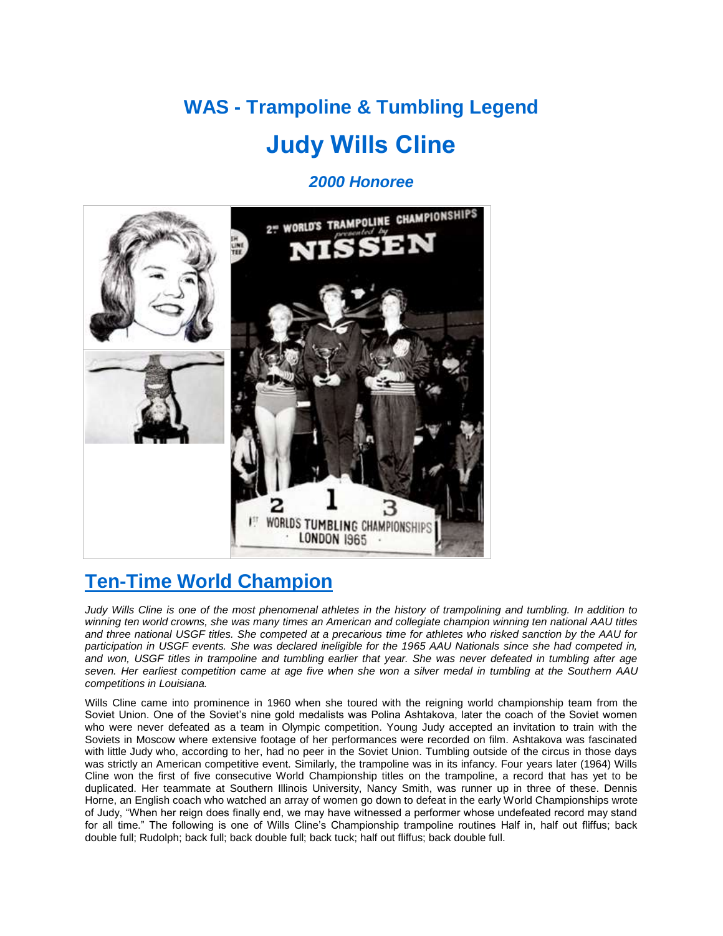# **WAS - Trampoline & Tumbling Legend Judy Wills Cline**

*2000 Honoree*



## **Ten-Time World Champion**

*Judy Wills Cline is one of the most phenomenal athletes in the history of trampolining and tumbling. In addition to winning ten world crowns, she was many times an American and collegiate champion winning ten national AAU titles and three national USGF titles. She competed at a precarious time for athletes who risked sanction by the AAU for participation in USGF events. She was declared ineligible for the 1965 AAU Nationals since she had competed in, and won, USGF titles in trampoline and tumbling earlier that year. She was never defeated in tumbling after age seven. Her earliest competition came at age five when she won a silver medal in tumbling at the Southern AAU competitions in Louisiana.*

Wills Cline came into prominence in 1960 when she toured with the reigning world championship team from the Soviet Union. One of the Soviet's nine gold medalists was Polina Ashtakova, later the coach of the Soviet women who were never defeated as a team in Olympic competition. Young Judy accepted an invitation to train with the Soviets in Moscow where extensive footage of her performances were recorded on film. Ashtakova was fascinated with little Judy who, according to her, had no peer in the Soviet Union. Tumbling outside of the circus in those days was strictly an American competitive event. Similarly, the trampoline was in its infancy. Four years later (1964) Wills Cline won the first of five consecutive World Championship titles on the trampoline, a record that has yet to be duplicated. Her teammate at Southern Illinois University, Nancy Smith, was runner up in three of these. Dennis Horne, an English coach who watched an array of women go down to defeat in the early World Championships wrote of Judy, "When her reign does finally end, we may have witnessed a performer whose undefeated record may stand for all time." The following is one of Wills Cline's Championship trampoline routines Half in, half out fliffus; back double full; Rudolph; back full; back double full; back tuck; half out fliffus; back double full.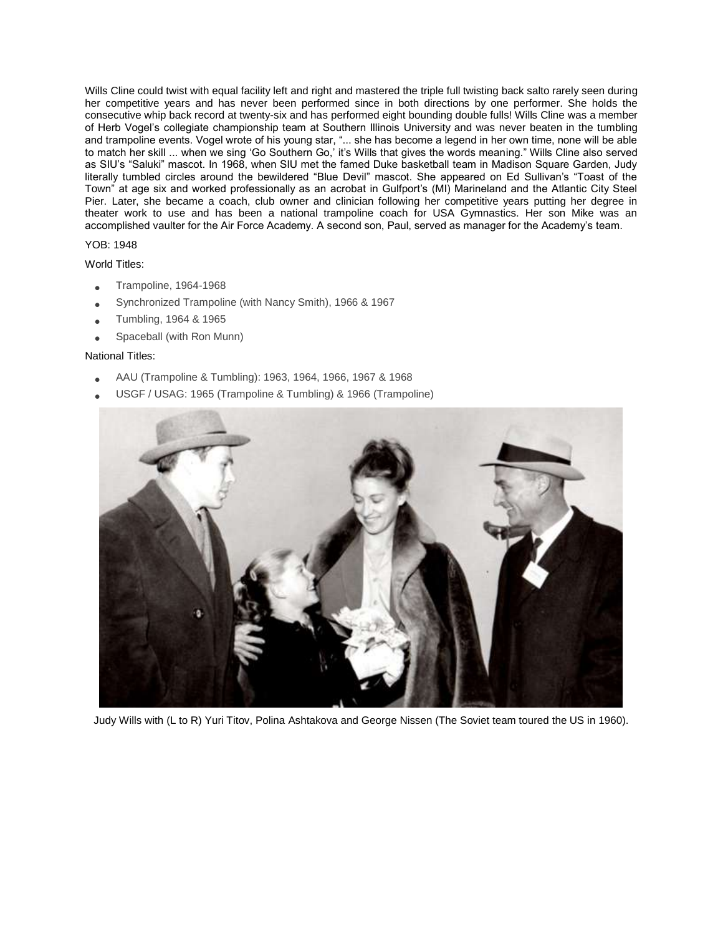Wills Cline could twist with equal facility left and right and mastered the triple full twisting back salto rarely seen during her competitive years and has never been performed since in both directions by one performer. She holds the consecutive whip back record at twenty-six and has performed eight bounding double fulls! Wills Cline was a member of Herb Vogel's collegiate championship team at Southern Illinois University and was never beaten in the tumbling and trampoline events. Vogel wrote of his young star, "... she has become a legend in her own time, none will be able to match her skill ... when we sing 'Go Southern Go,' it's Wills that gives the words meaning." Wills Cline also served as SIU's "Saluki" mascot. In 1968, when SIU met the famed Duke basketball team in Madison Square Garden, Judy literally tumbled circles around the bewildered "Blue Devil" mascot. She appeared on Ed Sullivan's "Toast of the Town" at age six and worked professionally as an acrobat in Gulfport's (MI) Marineland and the Atlantic City Steel Pier. Later, she became a coach, club owner and clinician following her competitive years putting her degree in theater work to use and has been a national trampoline coach for USA Gymnastics. Her son Mike was an accomplished vaulter for the Air Force Academy. A second son, Paul, served as manager for the Academy's team.

#### YOB: 1948

World Titles:

- Trampoline, 1964-1968
- Synchronized Trampoline (with Nancy Smith), 1966 & 1967
- Tumbling, 1964 & 1965
- Spaceball (with Ron Munn)

#### National Titles:

- AAU (Trampoline & Tumbling): 1963, 1964, 1966, 1967 & 1968
- USGF / USAG: 1965 (Trampoline & Tumbling) & 1966 (Trampoline)



Judy Wills with (L to R) Yuri Titov, Polina Ashtakova and George Nissen (The Soviet team toured the US in 1960).